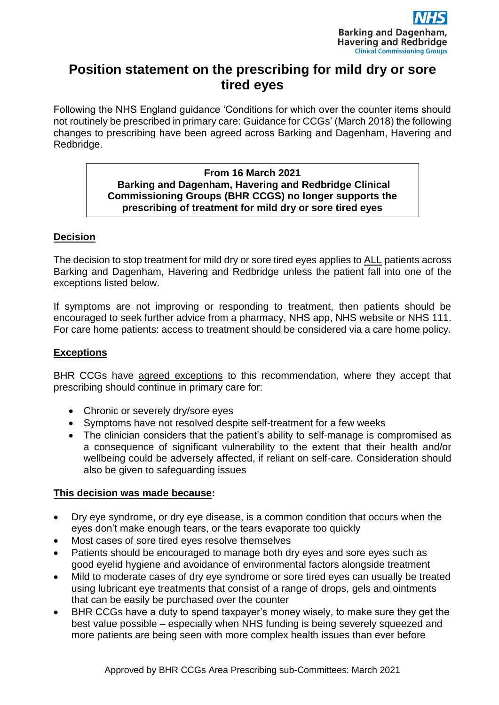

# **Position statement on the prescribing for mild dry or sore tired eyes**

Following the NHS England guidance 'Conditions for which over the counter items should not routinely be prescribed in primary care: Guidance for CCGs' (March 2018) the following changes to prescribing have been agreed across Barking and Dagenham, Havering and Redbridge.

#### **From 16 March 2021 Barking and Dagenham, Havering and Redbridge Clinical Commissioning Groups (BHR CCGS) no longer supports the prescribing of treatment for mild dry or sore tired eyes**

# **Decision**

The decision to stop treatment for mild dry or sore tired eyes applies to ALL patients across Barking and Dagenham, Havering and Redbridge unless the patient fall into one of the exceptions listed below.

If symptoms are not improving or responding to treatment, then patients should be encouraged to seek further advice from a pharmacy, NHS app, NHS website or NHS 111. For care home patients: access to treatment should be considered via a care home policy.

## **Exceptions**

BHR CCGs have agreed exceptions to this recommendation, where they accept that prescribing should continue in primary care for:

- Chronic or severely dry/sore eyes
- Symptoms have not resolved despite self-treatment for a few weeks
- The clinician considers that the patient's ability to self-manage is compromised as a consequence of significant vulnerability to the extent that their health and/or wellbeing could be adversely affected, if reliant on self-care. Consideration should also be given to safeguarding issues

### **This decision was made because:**

- Dry eye syndrome, or dry eye disease, is a common condition that occurs when the eyes don't make enough tears, or the tears evaporate too quickly
- Most cases of sore tired eyes resolve themselves
- Patients should be encouraged to manage both dry eyes and sore eyes such as good eyelid hygiene and avoidance of environmental factors alongside treatment
- Mild to moderate cases of dry eye syndrome or sore tired eyes can usually be treated using lubricant eye treatments that consist of a range of drops, gels and ointments that can be easily be purchased over the counter
- BHR CCGs have a duty to spend taxpayer's money wisely, to make sure they get the best value possible – especially when NHS funding is being severely squeezed and more patients are being seen with more complex health issues than ever before